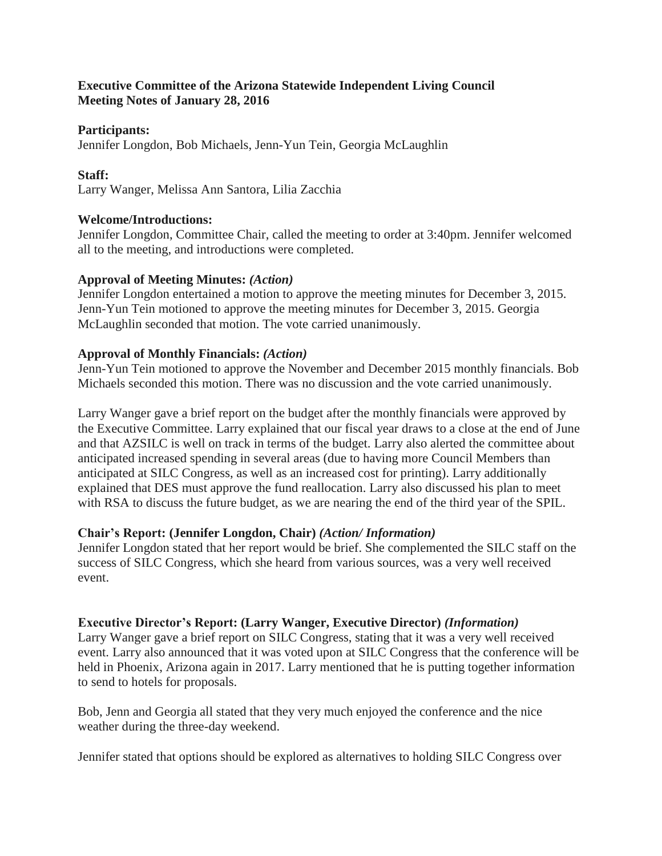### **Executive Committee of the Arizona Statewide Independent Living Council Meeting Notes of January 28, 2016**

#### **Participants:**

Jennifer Longdon, Bob Michaels, Jenn-Yun Tein, Georgia McLaughlin

## **Staff:**

Larry Wanger, Melissa Ann Santora, Lilia Zacchia

## **Welcome/Introductions:**

Jennifer Longdon, Committee Chair, called the meeting to order at 3:40pm. Jennifer welcomed all to the meeting, and introductions were completed.

## **Approval of Meeting Minutes:** *(Action)*

Jennifer Longdon entertained a motion to approve the meeting minutes for December 3, 2015. Jenn-Yun Tein motioned to approve the meeting minutes for December 3, 2015. Georgia McLaughlin seconded that motion. The vote carried unanimously.

## **Approval of Monthly Financials:** *(Action)*

Jenn-Yun Tein motioned to approve the November and December 2015 monthly financials. Bob Michaels seconded this motion. There was no discussion and the vote carried unanimously.

Larry Wanger gave a brief report on the budget after the monthly financials were approved by the Executive Committee. Larry explained that our fiscal year draws to a close at the end of June and that AZSILC is well on track in terms of the budget. Larry also alerted the committee about anticipated increased spending in several areas (due to having more Council Members than anticipated at SILC Congress, as well as an increased cost for printing). Larry additionally explained that DES must approve the fund reallocation. Larry also discussed his plan to meet with RSA to discuss the future budget, as we are nearing the end of the third year of the SPIL.

# **Chair's Report: (Jennifer Longdon, Chair)** *(Action/ Information)*

Jennifer Longdon stated that her report would be brief. She complemented the SILC staff on the success of SILC Congress, which she heard from various sources, was a very well received event.

# **Executive Director's Report: (Larry Wanger, Executive Director)** *(Information)*

Larry Wanger gave a brief report on SILC Congress, stating that it was a very well received event. Larry also announced that it was voted upon at SILC Congress that the conference will be held in Phoenix, Arizona again in 2017. Larry mentioned that he is putting together information to send to hotels for proposals.

Bob, Jenn and Georgia all stated that they very much enjoyed the conference and the nice weather during the three-day weekend.

Jennifer stated that options should be explored as alternatives to holding SILC Congress over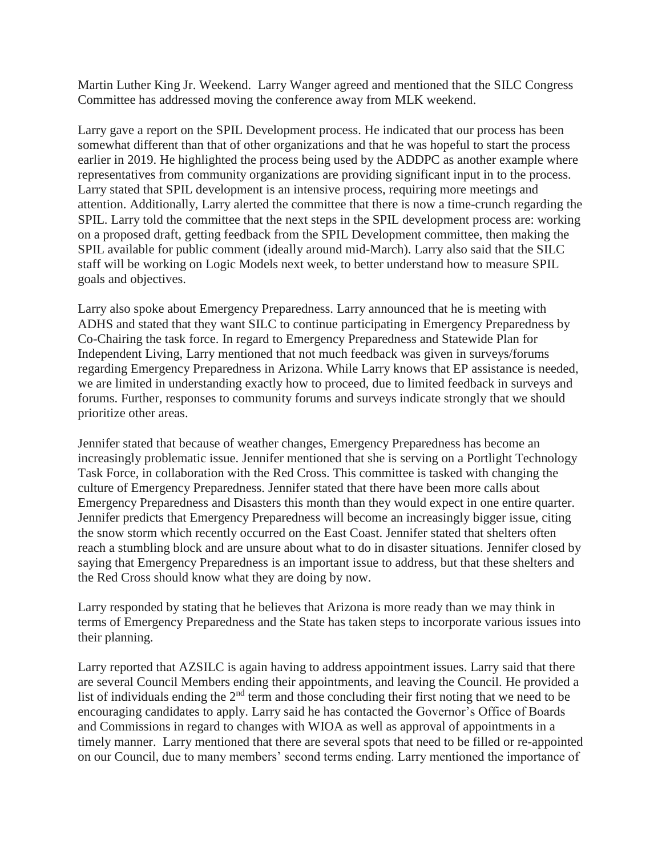Martin Luther King Jr. Weekend. Larry Wanger agreed and mentioned that the SILC Congress Committee has addressed moving the conference away from MLK weekend.

Larry gave a report on the SPIL Development process. He indicated that our process has been somewhat different than that of other organizations and that he was hopeful to start the process earlier in 2019. He highlighted the process being used by the ADDPC as another example where representatives from community organizations are providing significant input in to the process. Larry stated that SPIL development is an intensive process, requiring more meetings and attention. Additionally, Larry alerted the committee that there is now a time-crunch regarding the SPIL. Larry told the committee that the next steps in the SPIL development process are: working on a proposed draft, getting feedback from the SPIL Development committee, then making the SPIL available for public comment (ideally around mid-March). Larry also said that the SILC staff will be working on Logic Models next week, to better understand how to measure SPIL goals and objectives.

Larry also spoke about Emergency Preparedness. Larry announced that he is meeting with ADHS and stated that they want SILC to continue participating in Emergency Preparedness by Co-Chairing the task force. In regard to Emergency Preparedness and Statewide Plan for Independent Living, Larry mentioned that not much feedback was given in surveys/forums regarding Emergency Preparedness in Arizona. While Larry knows that EP assistance is needed, we are limited in understanding exactly how to proceed, due to limited feedback in surveys and forums. Further, responses to community forums and surveys indicate strongly that we should prioritize other areas.

Jennifer stated that because of weather changes, Emergency Preparedness has become an increasingly problematic issue. Jennifer mentioned that she is serving on a Portlight Technology Task Force, in collaboration with the Red Cross. This committee is tasked with changing the culture of Emergency Preparedness. Jennifer stated that there have been more calls about Emergency Preparedness and Disasters this month than they would expect in one entire quarter. Jennifer predicts that Emergency Preparedness will become an increasingly bigger issue, citing the snow storm which recently occurred on the East Coast. Jennifer stated that shelters often reach a stumbling block and are unsure about what to do in disaster situations. Jennifer closed by saying that Emergency Preparedness is an important issue to address, but that these shelters and the Red Cross should know what they are doing by now.

Larry responded by stating that he believes that Arizona is more ready than we may think in terms of Emergency Preparedness and the State has taken steps to incorporate various issues into their planning.

Larry reported that AZSILC is again having to address appointment issues. Larry said that there are several Council Members ending their appointments, and leaving the Council. He provided a list of individuals ending the 2<sup>nd</sup> term and those concluding their first noting that we need to be encouraging candidates to apply. Larry said he has contacted the Governor's Office of Boards and Commissions in regard to changes with WIOA as well as approval of appointments in a timely manner. Larry mentioned that there are several spots that need to be filled or re-appointed on our Council, due to many members' second terms ending. Larry mentioned the importance of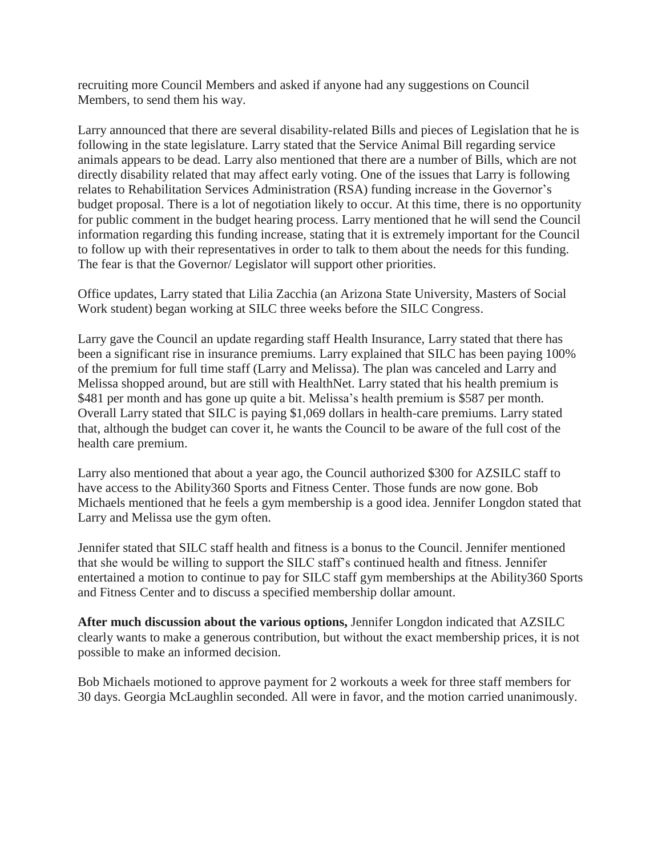recruiting more Council Members and asked if anyone had any suggestions on Council Members, to send them his way.

Larry announced that there are several disability-related Bills and pieces of Legislation that he is following in the state legislature. Larry stated that the Service Animal Bill regarding service animals appears to be dead. Larry also mentioned that there are a number of Bills, which are not directly disability related that may affect early voting. One of the issues that Larry is following relates to Rehabilitation Services Administration (RSA) funding increase in the Governor's budget proposal. There is a lot of negotiation likely to occur. At this time, there is no opportunity for public comment in the budget hearing process. Larry mentioned that he will send the Council information regarding this funding increase, stating that it is extremely important for the Council to follow up with their representatives in order to talk to them about the needs for this funding. The fear is that the Governor/ Legislator will support other priorities.

Office updates, Larry stated that Lilia Zacchia (an Arizona State University, Masters of Social Work student) began working at SILC three weeks before the SILC Congress.

Larry gave the Council an update regarding staff Health Insurance, Larry stated that there has been a significant rise in insurance premiums. Larry explained that SILC has been paying 100% of the premium for full time staff (Larry and Melissa). The plan was canceled and Larry and Melissa shopped around, but are still with HealthNet. Larry stated that his health premium is \$481 per month and has gone up quite a bit. Melissa's health premium is \$587 per month. Overall Larry stated that SILC is paying \$1,069 dollars in health-care premiums. Larry stated that, although the budget can cover it, he wants the Council to be aware of the full cost of the health care premium.

Larry also mentioned that about a year ago, the Council authorized \$300 for AZSILC staff to have access to the Ability360 Sports and Fitness Center. Those funds are now gone. Bob Michaels mentioned that he feels a gym membership is a good idea. Jennifer Longdon stated that Larry and Melissa use the gym often.

Jennifer stated that SILC staff health and fitness is a bonus to the Council. Jennifer mentioned that she would be willing to support the SILC staff's continued health and fitness. Jennifer entertained a motion to continue to pay for SILC staff gym memberships at the Ability360 Sports and Fitness Center and to discuss a specified membership dollar amount.

**After much discussion about the various options,** Jennifer Longdon indicated that AZSILC clearly wants to make a generous contribution, but without the exact membership prices, it is not possible to make an informed decision.

Bob Michaels motioned to approve payment for 2 workouts a week for three staff members for 30 days. Georgia McLaughlin seconded. All were in favor, and the motion carried unanimously.